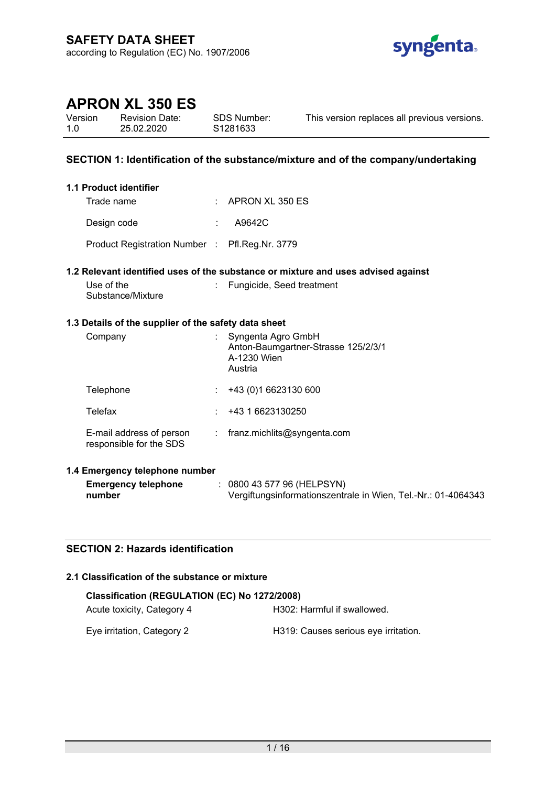

Version 1.0 Revision Date: 25.02.2020

SDS Number: S1281633

This version replaces all previous versions.

# **SECTION 1: Identification of the substance/mixture and of the company/undertaking**

### **1.1 Product identifier**

| Trade name                                     | $\therefore$ APRON XL 350 ES |
|------------------------------------------------|------------------------------|
| Design code                                    | A9642C                       |
| Product Registration Number : Pfl.Reg.Nr. 3779 |                              |

#### **1.2 Relevant identified uses of the substance or mixture and uses advised against**

| Use of the        | : Fungicide, Seed treatment |
|-------------------|-----------------------------|
| Substance/Mixture |                             |

## **1.3 Details of the supplier of the safety data sheet**

| Company                                             |    | Syngenta Agro GmbH<br>Anton-Baumgartner-Strasse 125/2/3/1<br>A-1230 Wien<br>Austria |
|-----------------------------------------------------|----|-------------------------------------------------------------------------------------|
| Telephone                                           |    | +43 (0) 1 6623130 600                                                               |
| Telefax                                             |    | +43 1 6623130250                                                                    |
| E-mail address of person<br>responsible for the SDS | ÷. | franz.michlits@syngenta.com                                                         |

#### **1.4 Emergency telephone number**

| <b>Emergency telephone</b> | 0800 43 577 96 (HELPSYN)                                      |  |
|----------------------------|---------------------------------------------------------------|--|
| number                     | Vergiftungsinformationszentrale in Wien, Tel.-Nr.: 01-4064343 |  |

# **SECTION 2: Hazards identification**

## **2.1 Classification of the substance or mixture**

| Classification (REGULATION (EC) No 1272/2008) |                                      |  |  |  |
|-----------------------------------------------|--------------------------------------|--|--|--|
| Acute toxicity, Category 4                    | H302: Harmful if swallowed.          |  |  |  |
| Eye irritation, Category 2                    | H319: Causes serious eye irritation. |  |  |  |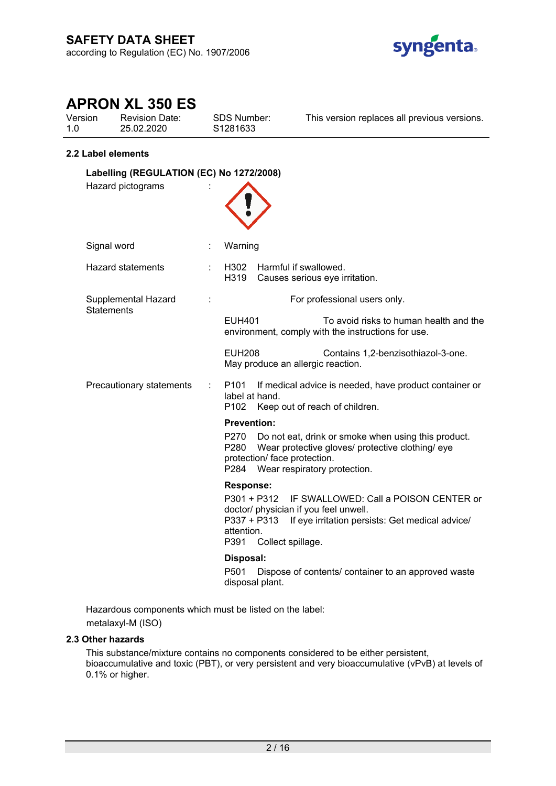

| Version | <b>Revision Date:</b> |
|---------|-----------------------|
| 1.0     | 25.02.2020            |

SDS Number: S1281633

This version replaces all previous versions.

### **2.2 Label elements**

| Labelling (REGULATION (EC) No 1272/2008) |  |                                                                                                                                                                                                                                |  |
|------------------------------------------|--|--------------------------------------------------------------------------------------------------------------------------------------------------------------------------------------------------------------------------------|--|
| Hazard pictograms                        |  |                                                                                                                                                                                                                                |  |
| Signal word                              |  | Warning                                                                                                                                                                                                                        |  |
| <b>Hazard statements</b>                 |  | Harmful if swallowed.<br>H302<br>H319<br>Causes serious eye irritation.                                                                                                                                                        |  |
| Supplemental Hazard<br><b>Statements</b> |  | For professional users only.                                                                                                                                                                                                   |  |
|                                          |  | <b>EUH401</b><br>To avoid risks to human health and the<br>environment, comply with the instructions for use.                                                                                                                  |  |
|                                          |  | <b>EUH208</b><br>Contains 1,2-benzisothiazol-3-one.<br>May produce an allergic reaction.                                                                                                                                       |  |
| Precautionary statements                 |  | P <sub>101</sub><br>If medical advice is needed, have product container or<br>label at hand.<br>P <sub>102</sub><br>Keep out of reach of children.                                                                             |  |
|                                          |  | <b>Prevention:</b><br>P270<br>Do not eat, drink or smoke when using this product.<br>P280<br>Wear protective gloves/ protective clothing/ eye<br>protection/ face protection.<br>P284<br>Wear respiratory protection.          |  |
|                                          |  | <b>Response:</b><br>P301 + P312<br>IF SWALLOWED: Call a POISON CENTER or<br>doctor/ physician if you feel unwell.<br>P337 + P313<br>If eye irritation persists: Get medical advice/<br>attention.<br>P391<br>Collect spillage. |  |
|                                          |  | Disposal:<br>P <sub>501</sub><br>Dispose of contents/ container to an approved waste<br>disposal plant.                                                                                                                        |  |

Hazardous components which must be listed on the label: metalaxyl-M (ISO)

## **2.3 Other hazards**

This substance/mixture contains no components considered to be either persistent, bioaccumulative and toxic (PBT), or very persistent and very bioaccumulative (vPvB) at levels of 0.1% or higher.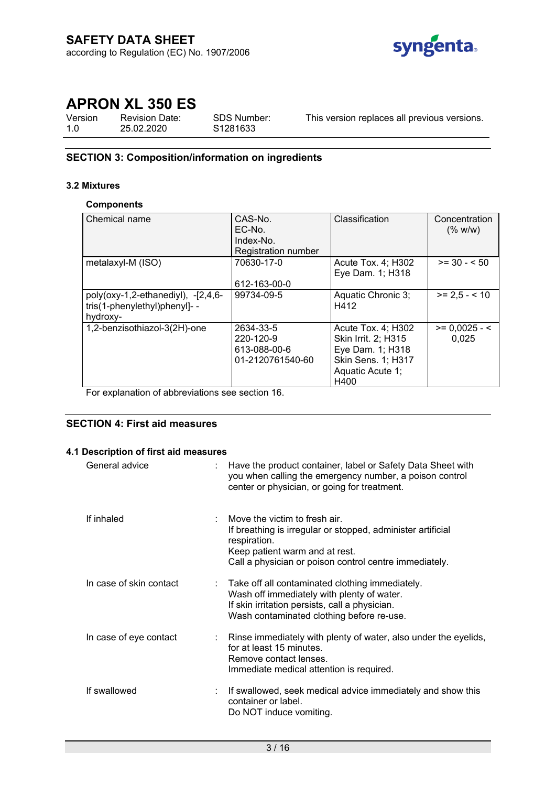

Version 1.0 Revision Date: 25.02.2020

SDS Number: S1281633

This version replaces all previous versions.

## **SECTION 3: Composition/information on ingredients**

#### **3.2 Mixtures**

#### **Components**

| Chemical name                                                                     | CAS-No.<br>EC-No.<br>Index-No.<br>Registration number      | Classification                                                                                                  | Concentration<br>(% w/w) |
|-----------------------------------------------------------------------------------|------------------------------------------------------------|-----------------------------------------------------------------------------------------------------------------|--------------------------|
| metalaxyl-M (ISO)                                                                 | 70630-17-0<br>612-163-00-0                                 | Acute Tox. 4; H302<br>Eye Dam. 1; H318                                                                          | $>= 30 - 50$             |
| poly(oxy-1,2-ethanediyl), $-[2,4,6-$<br>tris(1-phenylethyl)phenyl]- -<br>hydroxy- | 99734-09-5                                                 | Aquatic Chronic 3;<br>H412                                                                                      | $>= 2.5 - 10$            |
| 1,2-benzisothiazol-3(2H)-one                                                      | 2634-33-5<br>220-120-9<br>613-088-00-6<br>01-2120761540-60 | Acute Tox. 4; H302<br>Skin Irrit. 2; H315<br>Eye Dam. 1; H318<br>Skin Sens. 1; H317<br>Aquatic Acute 1;<br>H400 | $>= 0,0025 - 5$<br>0,025 |

For explanation of abbreviations see section 16.

# **SECTION 4: First aid measures**

## **4.1 Description of first aid measures**

| General advice          | : Have the product container, label or Safety Data Sheet with<br>you when calling the emergency number, a poison control<br>center or physician, or going for treatment.                                 |
|-------------------------|----------------------------------------------------------------------------------------------------------------------------------------------------------------------------------------------------------|
| If inhaled              | Move the victim to fresh air.<br>If breathing is irregular or stopped, administer artificial<br>respiration.<br>Keep patient warm and at rest.<br>Call a physician or poison control centre immediately. |
| In case of skin contact | : Take off all contaminated clothing immediately.<br>Wash off immediately with plenty of water.<br>If skin irritation persists, call a physician.<br>Wash contaminated clothing before re-use.           |
| In case of eye contact  | Rinse immediately with plenty of water, also under the eyelids,<br>for at least 15 minutes.<br>Remove contact lenses.<br>Immediate medical attention is required.                                        |
| If swallowed            | : If swallowed, seek medical advice immediately and show this<br>container or label.<br>Do NOT induce vomiting.                                                                                          |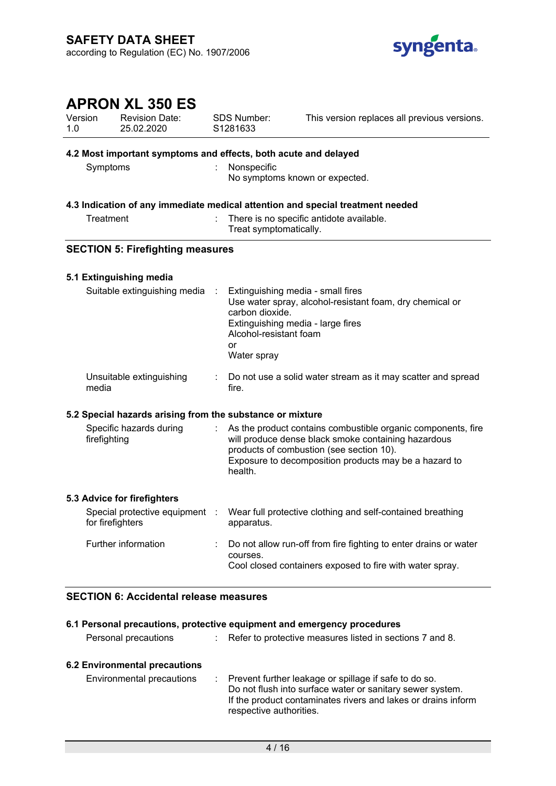

| Version<br>1.0 |              | <b>APRON XL 350 ES</b><br><b>Revision Date:</b><br>25.02.2020   | <b>SDS Number:</b><br>S1281633                                                                                                           | This version replaces all previous versions.                                                                                                                                                                             |
|----------------|--------------|-----------------------------------------------------------------|------------------------------------------------------------------------------------------------------------------------------------------|--------------------------------------------------------------------------------------------------------------------------------------------------------------------------------------------------------------------------|
|                |              | 4.2 Most important symptoms and effects, both acute and delayed |                                                                                                                                          |                                                                                                                                                                                                                          |
|                | Symptoms     |                                                                 | Nonspecific                                                                                                                              | No symptoms known or expected.                                                                                                                                                                                           |
|                |              |                                                                 |                                                                                                                                          | 4.3 Indication of any immediate medical attention and special treatment needed                                                                                                                                           |
|                | Treatment    |                                                                 | Treat symptomatically.                                                                                                                   | There is no specific antidote available.                                                                                                                                                                                 |
|                |              | <b>SECTION 5: Firefighting measures</b>                         |                                                                                                                                          |                                                                                                                                                                                                                          |
|                |              | 5.1 Extinguishing media                                         |                                                                                                                                          |                                                                                                                                                                                                                          |
|                |              | Suitable extinguishing media                                    | Extinguishing media - small fires<br>carbon dioxide.<br>Extinguishing media - large fires<br>Alcohol-resistant foam<br>or<br>Water spray | Use water spray, alcohol-resistant foam, dry chemical or                                                                                                                                                                 |
|                | media        | Unsuitable extinguishing                                        | fire.                                                                                                                                    | Do not use a solid water stream as it may scatter and spread                                                                                                                                                             |
|                |              | 5.2 Special hazards arising from the substance or mixture       |                                                                                                                                          |                                                                                                                                                                                                                          |
|                | firefighting | Specific hazards during                                         | health.                                                                                                                                  | As the product contains combustible organic components, fire<br>will produce dense black smoke containing hazardous<br>products of combustion (see section 10).<br>Exposure to decomposition products may be a hazard to |
|                |              | 5.3 Advice for firefighters                                     |                                                                                                                                          |                                                                                                                                                                                                                          |
|                |              | for firefighters                                                | apparatus.                                                                                                                               | Special protective equipment : Wear full protective clothing and self-contained breathing                                                                                                                                |
|                |              | Further information                                             | courses.                                                                                                                                 | Do not allow run-off from fire fighting to enter drains or water<br>Cool closed containers exposed to fire with water spray.                                                                                             |

## **SECTION 6: Accidental release measures**

| 6.1 Personal precautions, protective equipment and emergency procedures |  |                                                                                                                                                                                                                  |  |
|-------------------------------------------------------------------------|--|------------------------------------------------------------------------------------------------------------------------------------------------------------------------------------------------------------------|--|
| Personal precautions                                                    |  | : Refer to protective measures listed in sections 7 and 8.                                                                                                                                                       |  |
| <b>6.2 Environmental precautions</b><br>Environmental precautions       |  | : Prevent further leakage or spillage if safe to do so.<br>Do not flush into surface water or sanitary sewer system.<br>If the product contaminates rivers and lakes or drains inform<br>respective authorities. |  |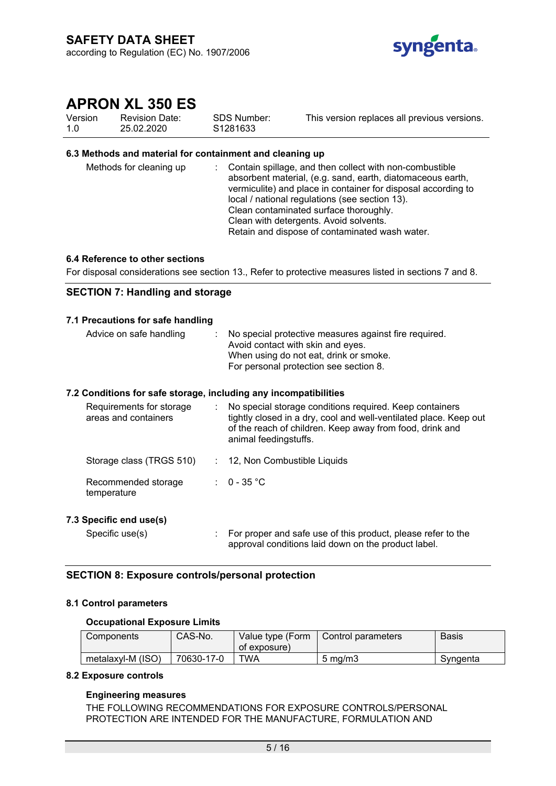

Version 1.0 Revision Date: 25.02.2020

SDS Number: S1281633 This version replaces all previous versions.

### **6.3 Methods and material for containment and cleaning up**

| Methods for cleaning up | : Contain spillage, and then collect with non-combustible<br>absorbent material, (e.g. sand, earth, diatomaceous earth,<br>vermiculite) and place in container for disposal according to<br>local / national regulations (see section 13).<br>Clean contaminated surface thoroughly.<br>Clean with detergents. Avoid solvents.<br>Retain and dispose of contaminated wash water. |
|-------------------------|----------------------------------------------------------------------------------------------------------------------------------------------------------------------------------------------------------------------------------------------------------------------------------------------------------------------------------------------------------------------------------|
|-------------------------|----------------------------------------------------------------------------------------------------------------------------------------------------------------------------------------------------------------------------------------------------------------------------------------------------------------------------------------------------------------------------------|

#### **6.4 Reference to other sections**

For disposal considerations see section 13., Refer to protective measures listed in sections 7 and 8.

#### **SECTION 7: Handling and storage**

#### **7.1 Precautions for safe handling**

| Advice on safe handling                                        | Avoid contact with skin and eyes. | No special protective measures against fire required.<br>When using do not eat, drink or smoke.<br>For personal protection see section 8. |
|----------------------------------------------------------------|-----------------------------------|-------------------------------------------------------------------------------------------------------------------------------------------|
| ' Canditiana far agfa ataraga "inaluding any inaampatibilitiaa |                                   |                                                                                                                                           |

#### **7.2 Conditions for safe storage, including any incompatibilities**

| Requirements for storage<br>areas and containers | No special storage conditions required. Keep containers<br>tightly closed in a dry, cool and well-ventilated place. Keep out<br>of the reach of children. Keep away from food, drink and<br>animal feedingstuffs. |
|--------------------------------------------------|-------------------------------------------------------------------------------------------------------------------------------------------------------------------------------------------------------------------|
| Storage class (TRGS 510)                         | : 12, Non Combustible Liquids                                                                                                                                                                                     |
| Recommended storage<br>temperature               | : $0 - 35$ °C                                                                                                                                                                                                     |

# **7.3 Specific end use(s)**

Specific use(s) : For proper and safe use of this product, please refer to the approval conditions laid down on the product label.

#### **SECTION 8: Exposure controls/personal protection**

#### **8.1 Control parameters**

#### **Occupational Exposure Limits**

| Components        | CAS-No.    | Value type (Form<br>of exposure) | Control parameters | <b>Basis</b> |
|-------------------|------------|----------------------------------|--------------------|--------------|
| metalaxyl-M (ISO) | 70630-17-0 | TWA                              | $5 \text{ mg/m}$   | Syngenta     |

#### **8.2 Exposure controls**

#### **Engineering measures**

THE FOLLOWING RECOMMENDATIONS FOR EXPOSURE CONTROLS/PERSONAL PROTECTION ARE INTENDED FOR THE MANUFACTURE, FORMULATION AND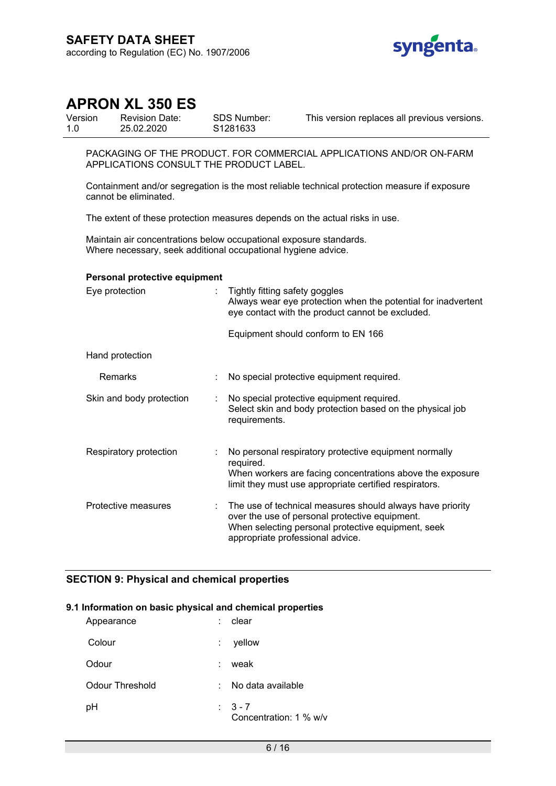

Version 1.0 Revision Date: 25.02.2020

SDS Number: S1281633

This version replaces all previous versions.

PACKAGING OF THE PRODUCT. FOR COMMERCIAL APPLICATIONS AND/OR ON-FARM APPLICATIONS CONSULT THE PRODUCT LABEL.

Containment and/or segregation is the most reliable technical protection measure if exposure cannot be eliminated.

The extent of these protection measures depends on the actual risks in use.

Maintain air concentrations below occupational exposure standards. Where necessary, seek additional occupational hygiene advice.

#### **Personal protective equipment**

| Eye protection           | Tightly fitting safety goggles<br>Always wear eye protection when the potential for inadvertent<br>eye contact with the product cannot be excluded.                                                   |
|--------------------------|-------------------------------------------------------------------------------------------------------------------------------------------------------------------------------------------------------|
|                          | Equipment should conform to EN 166                                                                                                                                                                    |
| Hand protection          |                                                                                                                                                                                                       |
| Remarks                  | No special protective equipment required.                                                                                                                                                             |
| Skin and body protection | No special protective equipment required.<br>Select skin and body protection based on the physical job<br>requirements.                                                                               |
| Respiratory protection   | No personal respiratory protective equipment normally<br>required.<br>When workers are facing concentrations above the exposure<br>limit they must use appropriate certified respirators.             |
| Protective measures      | The use of technical measures should always have priority<br>over the use of personal protective equipment.<br>When selecting personal protective equipment, seek<br>appropriate professional advice. |

# **SECTION 9: Physical and chemical properties**

#### **9.1 Information on basic physical and chemical properties**

| Appearance      | clear                             |
|-----------------|-----------------------------------|
| Colour          | yellow                            |
| Odour           | weak                              |
| Odour Threshold | No data available<br>t.           |
| рH              | $3 - 7$<br>Concentration: 1 % w/v |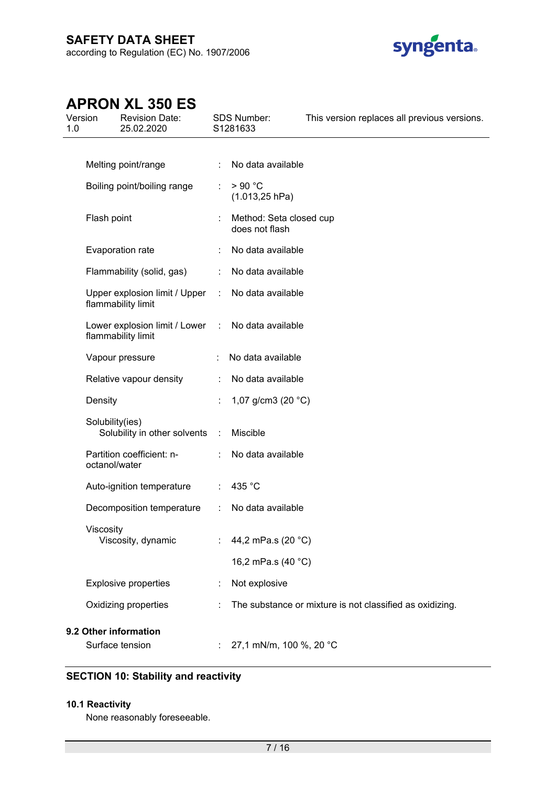

| Version<br>1.0 | <b>Revision Date:</b><br>25.02.2020                                     |                       | SDS Number:<br>S1281633                   | This version replaces all previous versions.             |
|----------------|-------------------------------------------------------------------------|-----------------------|-------------------------------------------|----------------------------------------------------------|
|                | Melting point/range                                                     |                       | : No data available                       |                                                          |
|                | Boiling point/boiling range                                             |                       | >90 °C<br>$(1.013, 25$ hPa)               |                                                          |
|                | Flash point                                                             |                       | Method: Seta closed cup<br>does not flash |                                                          |
|                | Evaporation rate                                                        | $\mathbb{Z}^{n-1}$    | No data available                         |                                                          |
|                | Flammability (solid, gas)                                               |                       | : No data available                       |                                                          |
|                | Upper explosion limit / Upper : No data available<br>flammability limit |                       |                                           |                                                          |
|                | Lower explosion limit / Lower : No data available<br>flammability limit |                       |                                           |                                                          |
|                | Vapour pressure                                                         | $\mathbb{Z}^{\times}$ | No data available                         |                                                          |
|                | Relative vapour density                                                 | $\mathbb{R}^{n}$      | No data available                         |                                                          |
|                | Density                                                                 |                       | 1,07 g/cm3 (20 $°C$ )                     |                                                          |
|                | Solubility(ies)<br>Solubility in other solvents :                       |                       | Miscible                                  |                                                          |
|                | Partition coefficient: n-<br>octanol/water                              |                       | No data available                         |                                                          |
|                | Auto-ignition temperature                                               |                       | $\therefore$ 435 °C                       |                                                          |
|                | Decomposition temperature                                               | ÷.                    | No data available                         |                                                          |
|                | Viscosity<br>Viscosity, dynamic                                         |                       | : $44,2 \text{ mPa.s } (20 \degree C)$    |                                                          |
|                |                                                                         |                       | 16,2 mPa.s (40 °C)                        |                                                          |
|                | <b>Explosive properties</b>                                             |                       | Not explosive                             |                                                          |
|                | Oxidizing properties                                                    |                       |                                           | The substance or mixture is not classified as oxidizing. |
|                | 9.2 Other information                                                   |                       |                                           |                                                          |
|                | Surface tension                                                         |                       | 27,1 mN/m, 100 %, 20 °C                   |                                                          |

# **SECTION 10: Stability and reactivity**

# **10.1 Reactivity**

None reasonably foreseeable.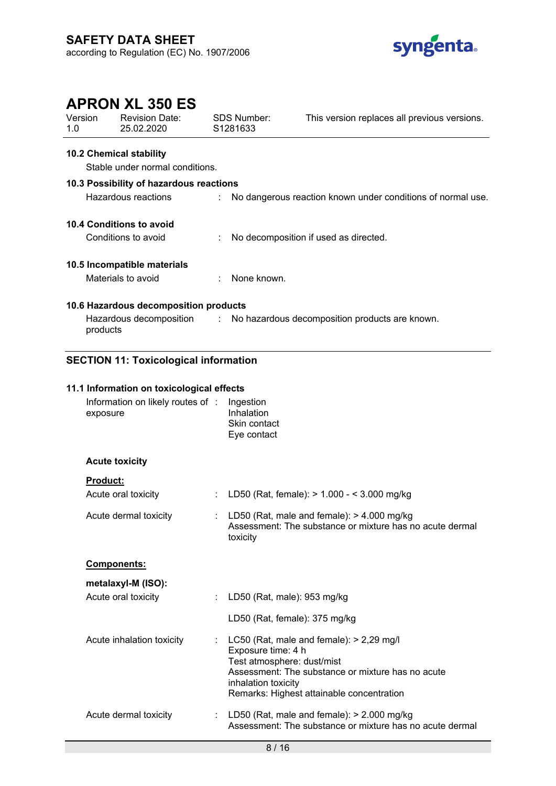

|                    | <b>APRON XL 350 ES</b>                        |                                                        |                                                             |  |  |
|--------------------|-----------------------------------------------|--------------------------------------------------------|-------------------------------------------------------------|--|--|
| Version<br>1.0     | Revision Date:<br>25.02.2020                  | SDS Number:<br>S1281633                                | This version replaces all previous versions.                |  |  |
|                    | <b>10.2 Chemical stability</b>                |                                                        |                                                             |  |  |
|                    | Stable under normal conditions.               |                                                        |                                                             |  |  |
|                    | 10.3 Possibility of hazardous reactions       |                                                        |                                                             |  |  |
|                    | Hazardous reactions                           |                                                        | No dangerous reaction known under conditions of normal use. |  |  |
|                    | <b>10.4 Conditions to avoid</b>               |                                                        |                                                             |  |  |
|                    | Conditions to avoid                           |                                                        | No decomposition if used as directed.                       |  |  |
|                    | 10.5 Incompatible materials                   |                                                        |                                                             |  |  |
| Materials to avoid |                                               | None known.                                            |                                                             |  |  |
|                    | 10.6 Hazardous decomposition products         |                                                        |                                                             |  |  |
|                    | Hazardous decomposition<br>products           |                                                        | : No hazardous decomposition products are known.            |  |  |
|                    | <b>SECTION 11: Toxicological information</b>  |                                                        |                                                             |  |  |
|                    | 11.1 Information on toxicological effects     |                                                        |                                                             |  |  |
|                    | Information on likely routes of :<br>exposure | Ingestion<br>Inhalation<br>Skin contact<br>Eye contact |                                                             |  |  |
|                    | <b>Acute toxicity</b>                         |                                                        |                                                             |  |  |
|                    | <b>Product:</b>                               |                                                        |                                                             |  |  |
|                    | Acute oral toxicity                           |                                                        | LD50 (Rat, female): > 1.000 - < 3.000 mg/kg                 |  |  |

| Acute oral toxicity                       | : LD50 (Rat, female): $> 1.000 - 5.000$ mg/kg                                                                                                                                                                             |
|-------------------------------------------|---------------------------------------------------------------------------------------------------------------------------------------------------------------------------------------------------------------------------|
| Acute dermal toxicity                     | : LD50 (Rat, male and female): $> 4.000$ mg/kg<br>Assessment: The substance or mixture has no acute dermal<br>toxicity                                                                                                    |
| <b>Components:</b>                        |                                                                                                                                                                                                                           |
| metalaxyl-M (ISO):<br>Acute oral toxicity | : LD50 (Rat, male): 953 mg/kg                                                                                                                                                                                             |
|                                           | LD50 (Rat, female): 375 mg/kg                                                                                                                                                                                             |
| Acute inhalation toxicity                 | : LC50 (Rat, male and female): $> 2,29$ mg/l<br>Exposure time: 4 h<br>Test atmosphere: dust/mist<br>Assessment: The substance or mixture has no acute<br>inhalation toxicity<br>Remarks: Highest attainable concentration |
| Acute dermal toxicity                     | LD50 (Rat, male and female): $> 2.000$ mg/kg<br>Assessment: The substance or mixture has no acute dermal                                                                                                                  |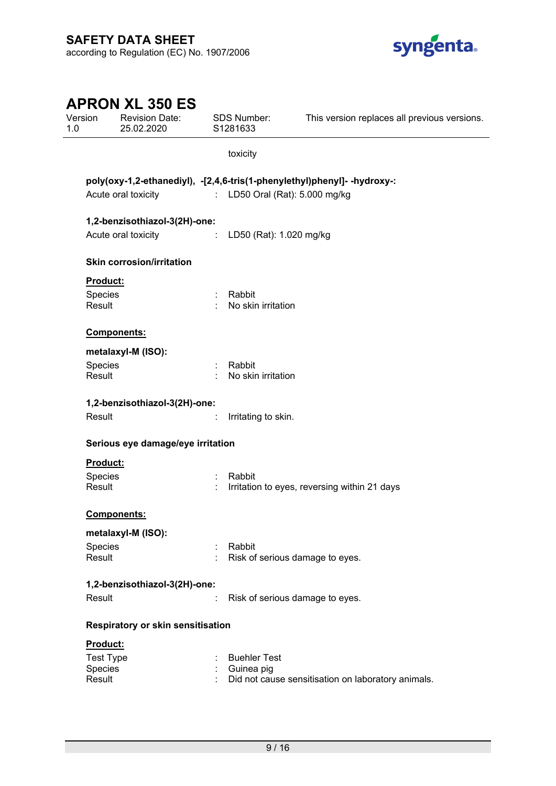

| Version<br>1.0 |                     | <b>APRON XL 350 ES</b><br><b>Revision Date:</b><br>25.02.2020 |   | <b>SDS Number:</b><br>S1281633            | This version replaces all previous versions.                             |
|----------------|---------------------|---------------------------------------------------------------|---|-------------------------------------------|--------------------------------------------------------------------------|
|                |                     |                                                               |   | toxicity                                  |                                                                          |
|                |                     |                                                               |   |                                           | poly(oxy-1,2-ethanediyl), -[2,4,6-tris(1-phenylethyl)phenyl]- -hydroxy-: |
|                | Acute oral toxicity |                                                               |   | : LD50 Oral (Rat): 5.000 mg/kg            |                                                                          |
|                |                     | 1,2-benzisothiazol-3(2H)-one:                                 |   |                                           |                                                                          |
|                |                     | Acute oral toxicity : LD50 (Rat): 1.020 mg/kg                 |   |                                           |                                                                          |
|                |                     | <b>Skin corrosion/irritation</b>                              |   |                                           |                                                                          |
|                | Product:            |                                                               |   |                                           |                                                                          |
|                | Species<br>Result   |                                                               |   | Rabbit<br>No skin irritation              |                                                                          |
|                | <b>Components:</b>  |                                                               |   |                                           |                                                                          |
|                | metalaxyl-M (ISO):  |                                                               |   |                                           |                                                                          |
|                | Species<br>Result   |                                                               |   | Rabbit<br>No skin irritation              |                                                                          |
|                |                     | 1,2-benzisothiazol-3(2H)-one:                                 |   |                                           |                                                                          |
|                | Result              |                                                               | ÷ | Irritating to skin.                       |                                                                          |
|                |                     | Serious eye damage/eye irritation                             |   |                                           |                                                                          |
|                | Product:            |                                                               |   |                                           |                                                                          |
|                | Species<br>Result   |                                                               |   | Rabbit                                    | Irritation to eyes, reversing within 21 days                             |
|                | Components:         |                                                               |   |                                           |                                                                          |
|                | metalaxyl-M (ISO):  |                                                               |   |                                           |                                                                          |
|                | Species<br>Result   |                                                               | ÷ | Rabbit<br>Risk of serious damage to eyes. |                                                                          |
|                |                     | 1,2-benzisothiazol-3(2H)-one:                                 |   |                                           |                                                                          |
|                | Result              |                                                               | ÷ | Risk of serious damage to eyes.           |                                                                          |
|                |                     | Respiratory or skin sensitisation                             |   |                                           |                                                                          |
|                | Product:            |                                                               |   |                                           |                                                                          |
|                | <b>Test Type</b>    |                                                               |   | <b>Buehler Test</b>                       |                                                                          |
|                | Species             |                                                               |   | Guinea pig                                |                                                                          |
|                | Result              |                                                               |   |                                           | Did not cause sensitisation on laboratory animals.                       |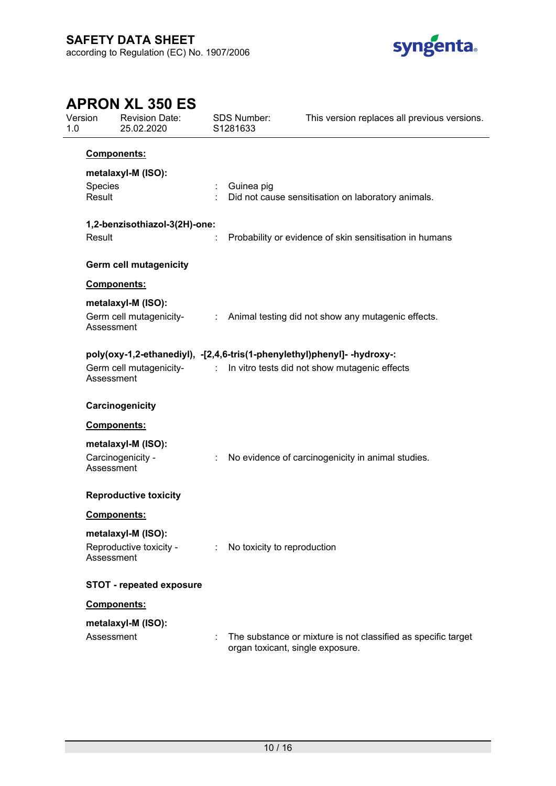

| 1.0 | Version           | <b>Revision Date:</b><br>25.02.2020           |                      | SDS Number:<br>S1281633 | This version replaces all previous versions.                                                                                                        |
|-----|-------------------|-----------------------------------------------|----------------------|-------------------------|-----------------------------------------------------------------------------------------------------------------------------------------------------|
|     |                   | Components:                                   |                      |                         |                                                                                                                                                     |
|     |                   | metalaxyl-M (ISO):                            |                      |                         |                                                                                                                                                     |
|     | Species<br>Result |                                               |                      | Guinea pig              | Did not cause sensitisation on laboratory animals.                                                                                                  |
|     |                   | 1,2-benzisothiazol-3(2H)-one:                 |                      |                         |                                                                                                                                                     |
|     | Result            |                                               |                      |                         | Probability or evidence of skin sensitisation in humans                                                                                             |
|     |                   | <b>Germ cell mutagenicity</b>                 |                      |                         |                                                                                                                                                     |
|     |                   | <b>Components:</b>                            |                      |                         |                                                                                                                                                     |
|     | Assessment        | metalaxyl-M (ISO):<br>Germ cell mutagenicity- |                      |                         | : Animal testing did not show any mutagenic effects.                                                                                                |
|     | Assessment        |                                               |                      |                         | poly(oxy-1,2-ethanediyl), -[2,4,6-tris(1-phenylethyl)phenyl]- -hydroxy-:<br>Germ cell mutagenicity- : In vitro tests did not show mutagenic effects |
|     |                   | Carcinogenicity                               |                      |                         |                                                                                                                                                     |
|     |                   | Components:                                   |                      |                         |                                                                                                                                                     |
|     | Assessment        | metalaxyl-M (ISO):<br>Carcinogenicity -       | ÷.                   |                         | No evidence of carcinogenicity in animal studies.                                                                                                   |
|     |                   | <b>Reproductive toxicity</b>                  |                      |                         |                                                                                                                                                     |
|     |                   | <b>Components:</b>                            |                      |                         |                                                                                                                                                     |
|     | Assessment        | metalaxyl-M (ISO):<br>Reproductive toxicity - |                      |                         | : No toxicity to reproduction                                                                                                                       |
|     |                   | <b>STOT - repeated exposure</b>               |                      |                         |                                                                                                                                                     |
|     |                   | Components:                                   |                      |                         |                                                                                                                                                     |
|     |                   | metalaxyl-M (ISO):                            |                      |                         |                                                                                                                                                     |
|     | Assessment        |                                               | $\ddot{\phantom{a}}$ |                         | The substance or mixture is not classified as specific target<br>organ toxicant, single exposure.                                                   |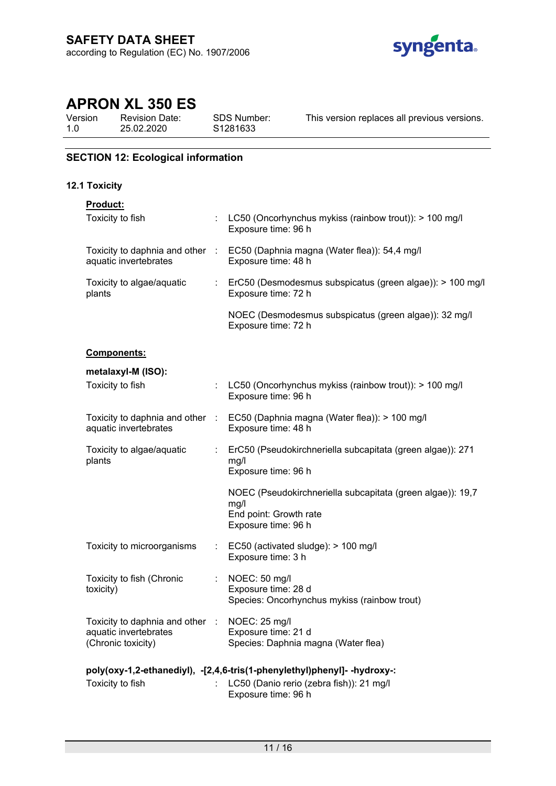

Version 1.0 Revision Date: 25.02.2020

SDS Number: S1281633

This version replaces all previous versions.

# **SECTION 12: Ecological information**

# **12.1 Toxicity**

| Product:                                                                       |                                                                                                                                             |
|--------------------------------------------------------------------------------|---------------------------------------------------------------------------------------------------------------------------------------------|
| Toxicity to fish                                                               | : LC50 (Oncorhynchus mykiss (rainbow trout)): > 100 mg/l<br>Exposure time: 96 h                                                             |
| Toxicity to daphnia and other :<br>aquatic invertebrates                       | EC50 (Daphnia magna (Water flea)): 54,4 mg/l<br>Exposure time: 48 h                                                                         |
| Toxicity to algae/aquatic<br>plants                                            | : ErC50 (Desmodesmus subspicatus (green algae)): > 100 mg/l<br>Exposure time: 72 h                                                          |
|                                                                                | NOEC (Desmodesmus subspicatus (green algae)): 32 mg/l<br>Exposure time: 72 h                                                                |
| Components:                                                                    |                                                                                                                                             |
| metalaxyl-M (ISO):                                                             |                                                                                                                                             |
| Toxicity to fish                                                               | LC50 (Oncorhynchus mykiss (rainbow trout)): > 100 mg/l<br>Exposure time: 96 h                                                               |
| Toxicity to daphnia and other :<br>aquatic invertebrates                       | EC50 (Daphnia magna (Water flea)): > 100 mg/l<br>Exposure time: 48 h                                                                        |
| Toxicity to algae/aquatic<br>plants                                            | ErC50 (Pseudokirchneriella subcapitata (green algae)): 271<br>mg/l<br>Exposure time: 96 h                                                   |
|                                                                                | NOEC (Pseudokirchneriella subcapitata (green algae)): 19,7<br>mg/l<br>End point: Growth rate<br>Exposure time: 96 h                         |
| Toxicity to microorganisms                                                     | $\therefore$ EC50 (activated sludge): > 100 mg/l<br>Exposure time: 3 h                                                                      |
| Toxicity to fish (Chronic<br>toxicity)                                         | NOEC: 50 mg/l<br>Exposure time: 28 d<br>Species: Oncorhynchus mykiss (rainbow trout)                                                        |
| Toxicity to daphnia and other :<br>aquatic invertebrates<br>(Chronic toxicity) | NOEC: 25 mg/l<br>Exposure time: 21 d<br>Species: Daphnia magna (Water flea)                                                                 |
|                                                                                |                                                                                                                                             |
| Toxicity to fish                                                               | poly(oxy-1,2-ethanediyl), -[2,4,6-tris(1-phenylethyl)phenyl]- -hydroxy-:<br>LC50 (Danio rerio (zebra fish)): 21 mg/l<br>Exposure time: 96 h |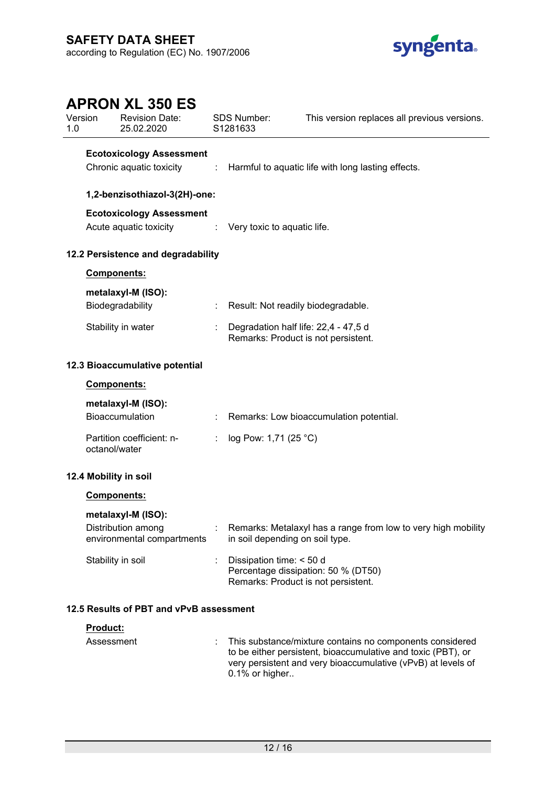

# **APRON XL 350 ES** Version 1.0 Revision Date: 25.02.2020 SDS Number: S1281633 This version replaces all previous versions. **Ecotoxicology Assessment** Chronic aquatic toxicity : Harmful to aquatic life with long lasting effects. **1,2-benzisothiazol-3(2H)-one: Ecotoxicology Assessment** Acute aquatic toxicity : Very toxic to aquatic life. **12.2 Persistence and degradability Components: metalaxyl-M (ISO):** Biodegradability : Result: Not readily biodegradable. Stability in water : Degradation half life: 22,4 - 47,5 d Remarks: Product is not persistent. **12.3 Bioaccumulative potential Components: metalaxyl-M (ISO):** Bioaccumulation : Remarks: Low bioaccumulation potential. Partition coefficient: noctanol/water : log Pow: 1,71 (25 °C) **12.4 Mobility in soil Components: metalaxyl-M (ISO):** Distribution among environmental compartments : Remarks: Metalaxyl has a range from low to very high mobility in soil depending on soil type. Stability in soil : Dissipation time: < 50 d Percentage dissipation: 50 % (DT50) Remarks: Product is not persistent. **12.5 Results of PBT and vPvB assessment Product:**

| <b>FIUUUUL.</b> |                                                                                                                                                                                                               |
|-----------------|---------------------------------------------------------------------------------------------------------------------------------------------------------------------------------------------------------------|
| Assessment      | This substance/mixture contains no components considered<br>to be either persistent, bioaccumulative and toxic (PBT), or<br>very persistent and very bioaccumulative (vPvB) at levels of<br>$0.1\%$ or higher |
|                 |                                                                                                                                                                                                               |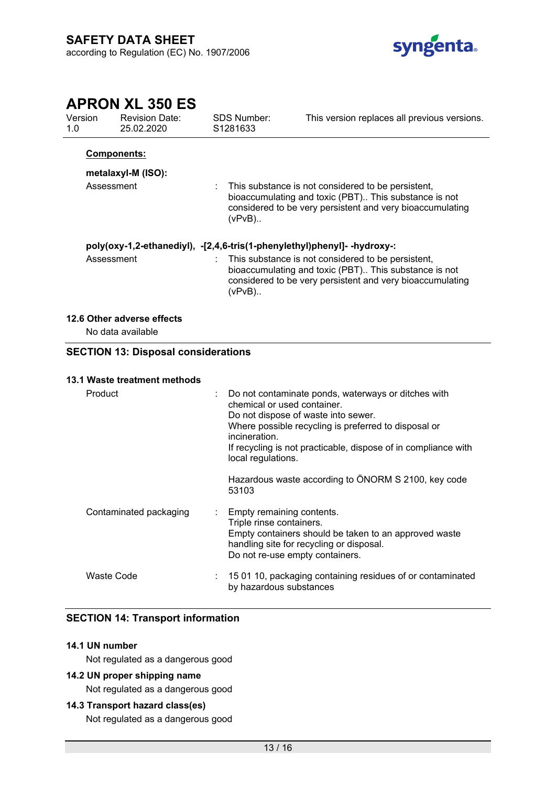

| Version<br>1.0                                                           |                                         | <b>Revision Date:</b><br>25.02.2020             |  | <b>SDS Number:</b><br>S1281633                                                                                                                                                       | This version replaces all previous versions.                                                                                                                                                                         |  |  |
|--------------------------------------------------------------------------|-----------------------------------------|-------------------------------------------------|--|--------------------------------------------------------------------------------------------------------------------------------------------------------------------------------------|----------------------------------------------------------------------------------------------------------------------------------------------------------------------------------------------------------------------|--|--|
|                                                                          | <b>Components:</b>                      |                                                 |  |                                                                                                                                                                                      |                                                                                                                                                                                                                      |  |  |
|                                                                          |                                         | metalaxyl-M (ISO):                              |  |                                                                                                                                                                                      |                                                                                                                                                                                                                      |  |  |
|                                                                          | Assessment                              |                                                 |  | $(vPvB)$                                                                                                                                                                             | This substance is not considered to be persistent,<br>bioaccumulating and toxic (PBT) This substance is not<br>considered to be very persistent and very bioaccumulating                                             |  |  |
| poly(oxy-1,2-ethanediyl), -[2,4,6-tris(1-phenylethyl)phenyl]- -hydroxy-: |                                         |                                                 |  |                                                                                                                                                                                      |                                                                                                                                                                                                                      |  |  |
|                                                                          | Assessment                              |                                                 |  | This substance is not considered to be persistent,<br>bioaccumulating and toxic (PBT) This substance is not<br>considered to be very persistent and very bioaccumulating<br>$(VPvB)$ |                                                                                                                                                                                                                      |  |  |
|                                                                          |                                         | 12.6 Other adverse effects<br>No data available |  |                                                                                                                                                                                      |                                                                                                                                                                                                                      |  |  |
|                                                                          |                                         | <b>SECTION 13: Disposal considerations</b>      |  |                                                                                                                                                                                      |                                                                                                                                                                                                                      |  |  |
|                                                                          |                                         |                                                 |  |                                                                                                                                                                                      |                                                                                                                                                                                                                      |  |  |
|                                                                          | 13.1 Waste treatment methods<br>Product |                                                 |  | chemical or used container.<br>incineration.<br>local regulations.                                                                                                                   | Do not contaminate ponds, waterways or ditches with<br>Do not dispose of waste into sewer.<br>Where possible recycling is preferred to disposal or<br>If recycling is not practicable, dispose of in compliance with |  |  |
|                                                                          |                                         |                                                 |  | 53103                                                                                                                                                                                | Hazardous waste according to ÖNORM S 2100, key code                                                                                                                                                                  |  |  |
|                                                                          |                                         | Contaminated packaging                          |  | Empty remaining contents.<br>Triple rinse containers.<br>Do not re-use empty containers.                                                                                             | Empty containers should be taken to an approved waste<br>handling site for recycling or disposal.                                                                                                                    |  |  |
|                                                                          | <b>Waste Code</b>                       |                                                 |  | by hazardous substances                                                                                                                                                              | 15 01 10, packaging containing residues of or contaminated                                                                                                                                                           |  |  |

# **SECTION 14: Transport information**

#### **14.1 UN number**

Not regulated as a dangerous good

## **14.2 UN proper shipping name**

Not regulated as a dangerous good

## **14.3 Transport hazard class(es)**

Not regulated as a dangerous good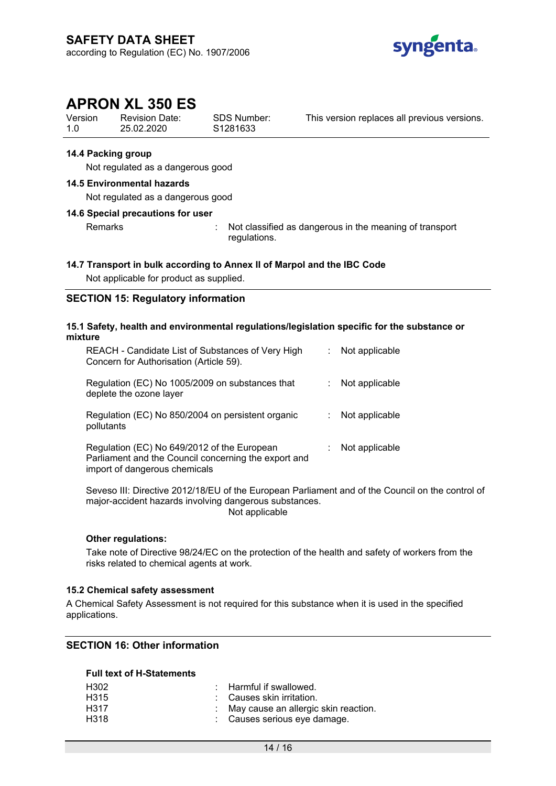

Version 1.0 Revision Date: 25.02.2020

SDS Number: S1281633

This version replaces all previous versions.

#### **14.4 Packing group**

Not regulated as a dangerous good

#### **14.5 Environmental hazards**

Not regulated as a dangerous good

#### **14.6 Special precautions for user**

Remarks : Not classified as dangerous in the meaning of transport regulations.

#### **14.7 Transport in bulk according to Annex II of Marpol and the IBC Code**

Not applicable for product as supplied.

## **SECTION 15: Regulatory information**

#### **15.1 Safety, health and environmental regulations/legislation specific for the substance or mixture**

| REACH - Candidate List of Substances of Very High<br>Concern for Authorisation (Article 59).                                         | Not applicable |
|--------------------------------------------------------------------------------------------------------------------------------------|----------------|
| Regulation (EC) No 1005/2009 on substances that<br>deplete the ozone layer                                                           | Not applicable |
| Regulation (EC) No 850/2004 on persistent organic<br>pollutants                                                                      | Not applicable |
| Regulation (EC) No 649/2012 of the European<br>Parliament and the Council concerning the export and<br>import of dangerous chemicals | Not applicable |

Seveso III: Directive 2012/18/EU of the European Parliament and of the Council on the control of major-accident hazards involving dangerous substances. Not applicable

#### **Other regulations:**

Take note of Directive 98/24/EC on the protection of the health and safety of workers from the risks related to chemical agents at work.

#### **15.2 Chemical safety assessment**

A Chemical Safety Assessment is not required for this substance when it is used in the specified applications.

## **SECTION 16: Other information**

#### **Full text of H-Statements**

| : Harmful if swallowed.                |
|----------------------------------------|
| : Causes skin irritation.              |
| : May cause an allergic skin reaction. |
| : Causes serious eye damage.           |
|                                        |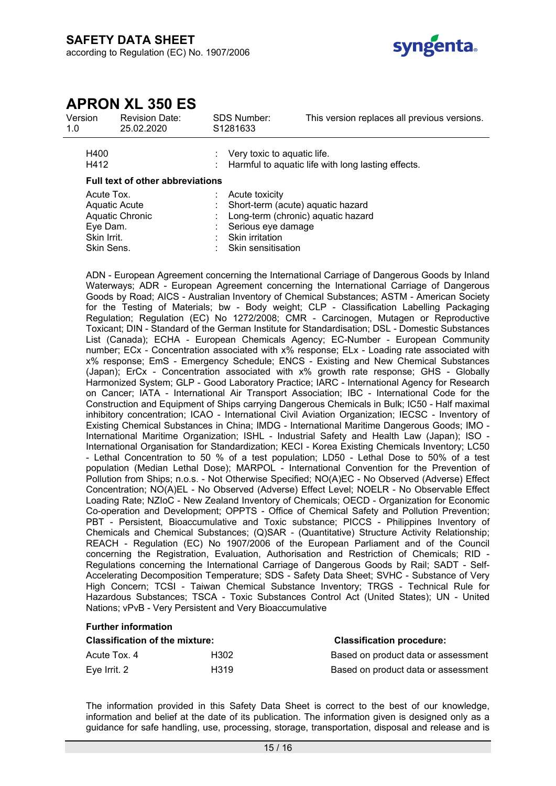

| Version<br>1.0                                                                                        | Revision Date:<br>25.02.2020 |  | SDS Number:<br>S <sub>1281633</sub>                                                                                                                      | This version replaces all previous versions.       |
|-------------------------------------------------------------------------------------------------------|------------------------------|--|----------------------------------------------------------------------------------------------------------------------------------------------------------|----------------------------------------------------|
| H400<br>H412                                                                                          |                              |  | Very toxic to aquatic life.                                                                                                                              | Harmful to aquatic life with long lasting effects. |
| <b>Full text of other abbreviations</b>                                                               |                              |  |                                                                                                                                                          |                                                    |
| Acute Tox.<br><b>Aquatic Acute</b><br><b>Aquatic Chronic</b><br>Eye Dam.<br>Skin Irrit.<br>Skin Sens. |                              |  | Acute toxicity<br>Short-term (acute) aquatic hazard<br>Long-term (chronic) aquatic hazard<br>Serious eye damage<br>Skin irritation<br>Skin sensitisation |                                                    |

ADN - European Agreement concerning the International Carriage of Dangerous Goods by Inland Waterways; ADR - European Agreement concerning the International Carriage of Dangerous Goods by Road; AICS - Australian Inventory of Chemical Substances; ASTM - American Society for the Testing of Materials; bw - Body weight; CLP - Classification Labelling Packaging Regulation; Regulation (EC) No 1272/2008; CMR - Carcinogen, Mutagen or Reproductive Toxicant; DIN - Standard of the German Institute for Standardisation; DSL - Domestic Substances List (Canada); ECHA - European Chemicals Agency; EC-Number - European Community number; ECx - Concentration associated with x% response; ELx - Loading rate associated with x% response; EmS - Emergency Schedule; ENCS - Existing and New Chemical Substances (Japan); ErCx - Concentration associated with x% growth rate response; GHS - Globally Harmonized System; GLP - Good Laboratory Practice; IARC - International Agency for Research on Cancer; IATA - International Air Transport Association; IBC - International Code for the Construction and Equipment of Ships carrying Dangerous Chemicals in Bulk; IC50 - Half maximal inhibitory concentration; ICAO - International Civil Aviation Organization; IECSC - Inventory of Existing Chemical Substances in China; IMDG - International Maritime Dangerous Goods; IMO - International Maritime Organization; ISHL - Industrial Safety and Health Law (Japan); ISO - International Organisation for Standardization; KECI - Korea Existing Chemicals Inventory; LC50 - Lethal Concentration to 50 % of a test population; LD50 - Lethal Dose to 50% of a test population (Median Lethal Dose); MARPOL - International Convention for the Prevention of Pollution from Ships; n.o.s. - Not Otherwise Specified; NO(A)EC - No Observed (Adverse) Effect Concentration; NO(A)EL - No Observed (Adverse) Effect Level; NOELR - No Observable Effect Loading Rate; NZIoC - New Zealand Inventory of Chemicals; OECD - Organization for Economic Co-operation and Development; OPPTS - Office of Chemical Safety and Pollution Prevention; PBT - Persistent, Bioaccumulative and Toxic substance; PICCS - Philippines Inventory of Chemicals and Chemical Substances; (Q)SAR - (Quantitative) Structure Activity Relationship; REACH - Regulation (EC) No 1907/2006 of the European Parliament and of the Council concerning the Registration, Evaluation, Authorisation and Restriction of Chemicals; RID - Regulations concerning the International Carriage of Dangerous Goods by Rail; SADT - Self-Accelerating Decomposition Temperature; SDS - Safety Data Sheet; SVHC - Substance of Very High Concern; TCSI - Taiwan Chemical Substance Inventory; TRGS - Technical Rule for Hazardous Substances; TSCA - Toxic Substances Control Act (United States); UN - United Nations; vPvB - Very Persistent and Very Bioaccumulative

#### **Further information**

| <b>Classification of the mixture:</b> | <b>Classification procedure:</b> |                                     |
|---------------------------------------|----------------------------------|-------------------------------------|
| Acute Tox, 4                          | H302                             | Based on product data or assessment |
| Eve Irrit. 2                          | H319                             | Based on product data or assessment |

The information provided in this Safety Data Sheet is correct to the best of our knowledge, information and belief at the date of its publication. The information given is designed only as a guidance for safe handling, use, processing, storage, transportation, disposal and release and is